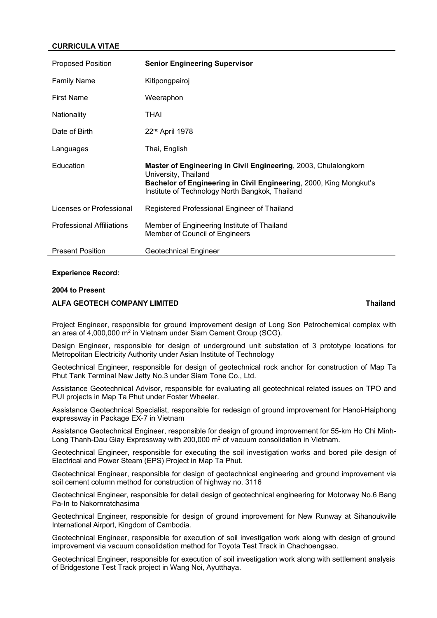# **CURRICULA VITAE**

| <b>Proposed Position</b>         | <b>Senior Engineering Supervisor</b>                                                                                                                                                                             |
|----------------------------------|------------------------------------------------------------------------------------------------------------------------------------------------------------------------------------------------------------------|
| <b>Family Name</b>               | Kitipongpairoj                                                                                                                                                                                                   |
| <b>First Name</b>                | Weeraphon                                                                                                                                                                                                        |
| Nationality                      | <b>THAI</b>                                                                                                                                                                                                      |
| Date of Birth                    | 22 <sup>nd</sup> April 1978                                                                                                                                                                                      |
| Languages                        | Thai, English                                                                                                                                                                                                    |
| Education                        | Master of Engineering in Civil Engineering, 2003, Chulalongkorn<br>University, Thailand<br>Bachelor of Engineering in Civil Engineering, 2000, King Mongkut's<br>Institute of Technology North Bangkok, Thailand |
| Licenses or Professional         | Registered Professional Engineer of Thailand                                                                                                                                                                     |
| <b>Professional Affiliations</b> | Member of Engineering Institute of Thailand<br>Member of Council of Engineers                                                                                                                                    |
| <b>Present Position</b>          | Geotechnical Engineer                                                                                                                                                                                            |

# **Experience Record:**

## **2004 to Present**

## **ALFA GEOTECH COMPANY LIMITED Thailand**

# Project Engineer, responsible for ground improvement design of Long Son Petrochemical complex with an area of 4,000,000 m2 in Vietnam under Siam Cement Group (SCG).

Design Engineer, responsible for design of underground unit substation of 3 prototype locations for Metropolitan Electricity Authority under Asian Institute of Technology

Geotechnical Engineer, responsible for design of geotechnical rock anchor for construction of Map Ta Phut Tank Terminal New Jetty No.3 under Siam Tone Co., Ltd.

Assistance Geotechnical Advisor, responsible for evaluating all geotechnical related issues on TPO and PUI projects in Map Ta Phut under Foster Wheeler.

Assistance Geotechnical Specialist, responsible for redesign of ground improvement for Hanoi-Haiphong expressway in Package EX-7 in Vietnam

Assistance Geotechnical Engineer, responsible for design of ground improvement for 55-km Ho Chi Minh-Long Thanh-Dau Giay Expressway with 200,000 m<sup>2</sup> of vacuum consolidation in Vietnam.

Geotechnical Engineer, responsible for executing the soil investigation works and bored pile design of Electrical and Power Steam (EPS) Project in Map Ta Phut.

Geotechnical Engineer, responsible for design of geotechnical engineering and ground improvement via soil cement column method for construction of highway no. 3116

Geotechnical Engineer, responsible for detail design of geotechnical engineering for Motorway No.6 Bang Pa-In to Nakornratchasima

Geotechnical Engineer, responsible for design of ground improvement for New Runway at Sihanoukville International Airport, Kingdom of Cambodia.

Geotechnical Engineer, responsible for execution of soil investigation work along with design of ground improvement via vacuum consolidation method for Toyota Test Track in Chachoengsao.

Geotechnical Engineer, responsible for execution of soil investigation work along with settlement analysis of Bridgestone Test Track project in Wang Noi, Ayutthaya.